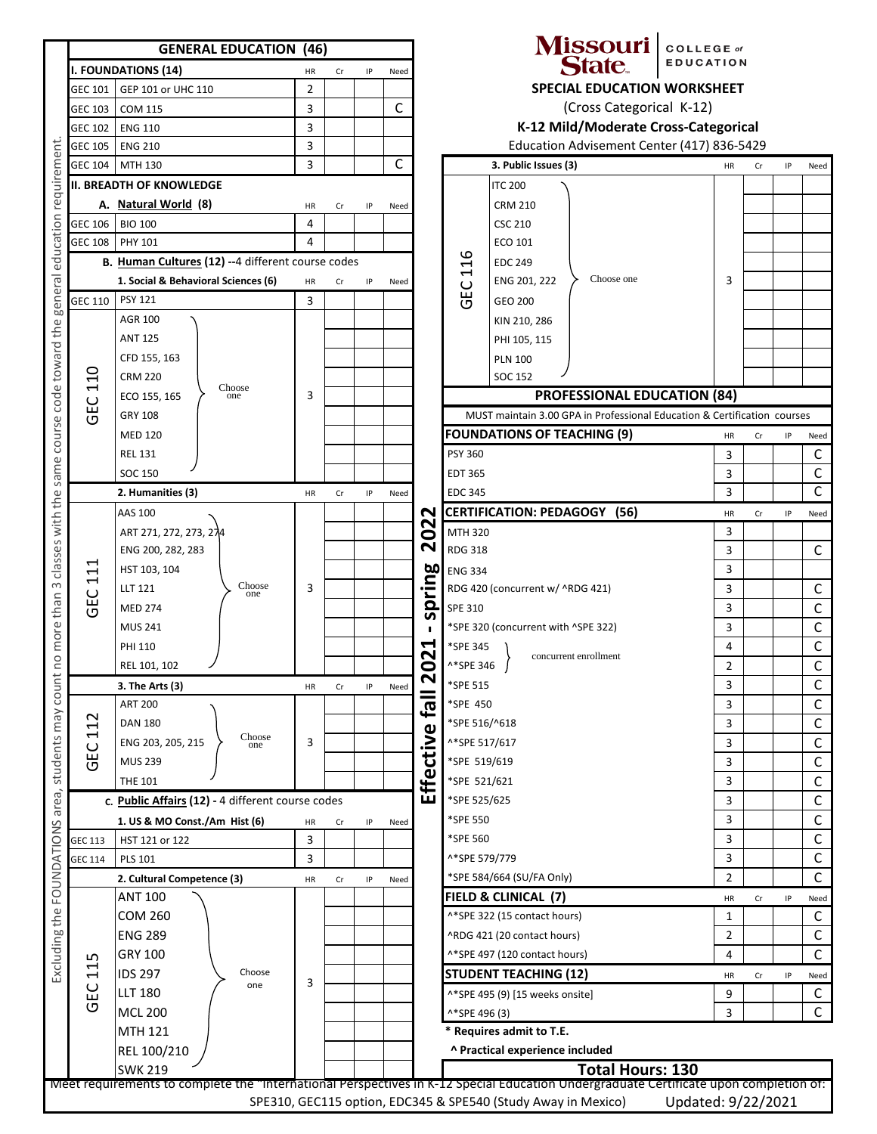|            | <b>GENERAL EDUCATION (46)</b>                      |                |                                                             |    |                          |                                                                     |                                     | Missouri   COLLEGE or<br><b>State</b>                                    | <b>EDUCATION</b> |              |              |              |  |
|------------|----------------------------------------------------|----------------|-------------------------------------------------------------|----|--------------------------|---------------------------------------------------------------------|-------------------------------------|--------------------------------------------------------------------------|------------------|--------------|--------------|--------------|--|
|            | I. FOUNDATIONS (14)                                | ΗR             | Cr                                                          | IP | Need                     | <b>SPECIAL EDUCATION WORKSHEET</b><br>C<br>(Cross Categorical K-12) |                                     |                                                                          |                  |              |              |              |  |
| GEC 101    | GEP 101 or UHC 110                                 | $\overline{2}$ |                                                             |    |                          |                                                                     |                                     |                                                                          |                  |              |              |              |  |
| GEC 103    | <b>COM 115</b>                                     | 3              |                                                             |    |                          |                                                                     |                                     |                                                                          |                  |              |              |              |  |
| GEC 102    | <b>ENG 110</b>                                     | 3              |                                                             |    |                          | K-12 Mild/Moderate Cross-Categorical                                |                                     |                                                                          |                  |              |              |              |  |
| GEC 105    | <b>ENG 210</b>                                     | 3              |                                                             |    | $\mathsf C$              |                                                                     |                                     | Education Advisement Center (417) 836-5429                               |                  |              |              |              |  |
| GEC 104    | MTH 130                                            | 3              |                                                             |    |                          |                                                                     |                                     | 3. Public Issues (3)                                                     | HR               | Cr           | IP           | Need         |  |
|            | II. BREADTH OF KNOWLEDGE                           |                |                                                             |    |                          |                                                                     |                                     | <b>ITC 200</b>                                                           |                  |              |              |              |  |
|            | A. Natural World (8)                               | HR             | Cr                                                          | IP | Need                     |                                                                     |                                     | <b>CRM 210</b>                                                           |                  |              |              |              |  |
| GEC 106    | <b>BIO 100</b>                                     | 4              |                                                             |    |                          |                                                                     |                                     | <b>CSC 210</b>                                                           |                  |              |              |              |  |
| GEC 108    | PHY 101                                            | 4              |                                                             |    |                          |                                                                     |                                     | ECO 101                                                                  |                  |              |              |              |  |
|            | B. Human Cultures (12) -- 4 different course codes |                |                                                             |    |                          |                                                                     | 116                                 | <b>EDC 249</b>                                                           |                  |              |              |              |  |
|            | 1. Social & Behavioral Sciences (6)                | HR             | Cr                                                          | IP | Need                     |                                                                     | ဥ                                   | Choose one<br>ENG 201, 222                                               | 3                |              |              |              |  |
| GEC 110    | <b>PSY 121</b>                                     | 3              |                                                             |    |                          |                                                                     | $\overline{C}$                      | GEO 200                                                                  |                  |              |              |              |  |
|            | <b>AGR 100</b>                                     |                |                                                             |    |                          |                                                                     |                                     | KIN 210, 286                                                             |                  |              |              |              |  |
|            | <b>ANT 125</b>                                     |                |                                                             |    |                          |                                                                     |                                     | PHI 105, 115                                                             |                  |              |              |              |  |
|            | CFD 155, 163                                       |                |                                                             |    |                          |                                                                     |                                     | <b>PLN 100</b>                                                           |                  |              |              |              |  |
| 110        | <b>CRM 220</b><br>Choose                           |                |                                                             |    |                          |                                                                     |                                     | <b>SOC 152</b>                                                           |                  |              |              |              |  |
| <b>GEC</b> | ECO 155, 165<br>one                                | 3              |                                                             |    |                          |                                                                     |                                     | <b>PROFESSIONAL EDUCATION (84)</b>                                       |                  |              |              |              |  |
|            | <b>GRY 108</b>                                     |                |                                                             |    |                          |                                                                     |                                     | MUST maintain 3.00 GPA in Professional Education & Certification courses |                  |              |              |              |  |
|            | <b>MED 120</b>                                     |                |                                                             |    |                          |                                                                     |                                     | <b>FOUNDATIONS OF TEACHING (9)</b>                                       | HR               | Cr           | IP           | Need         |  |
|            | <b>REL 131</b>                                     |                |                                                             |    |                          |                                                                     | <b>PSY 360</b>                      |                                                                          | 3                |              |              | C            |  |
|            | <b>SOC 150</b>                                     |                |                                                             |    |                          |                                                                     | <b>EDT 365</b>                      |                                                                          | 3                |              |              | $\mathsf{C}$ |  |
|            | 2. Humanities (3)                                  | HR             | Cr                                                          | IP | Need                     |                                                                     | <b>EDC 345</b>                      |                                                                          | 3                |              |              |              |  |
|            | AAS 100                                            |                |                                                             |    |                          | N                                                                   |                                     | <b>CERTIFICATION: PEDAGOGY (56)</b>                                      | HR               | Cr           | IP           | Need         |  |
|            | ART 271, 272, 273, 274                             |                |                                                             |    | $\sim$<br>$\bullet$<br>N | MTH 320                                                             |                                     | 3                                                                        |                  |              |              |              |  |
|            | ENG 200, 282, 283                                  |                |                                                             |    |                          | <b>RDG 318</b>                                                      | 3                                   |                                                                          |                  | $\mathsf{C}$ |              |              |  |
| 11         | HST 103, 104                                       |                |                                                             |    |                          | 50                                                                  | <b>ENG 334</b>                      | 3                                                                        |                  |              |              |              |  |
|            | Choose<br><b>LLT 121</b><br>one                    | 3              |                                                             |    |                          | rin                                                                 | RDG 420 (concurrent w/ ^RDG 421)    | 3                                                                        |                  |              | $\mathsf{C}$ |              |  |
| <b>GEC</b> | <b>MED 274</b>                                     |                |                                                             |    |                          | $\Omega$<br>n                                                       | SPE 310                             | 3                                                                        |                  |              | $\mathsf{C}$ |              |  |
|            | <b>MUS 241</b>                                     |                |                                                             |    |                          |                                                                     | *SPE 320 (concurrent with ^SPE 322) | 3                                                                        |                  |              | $\mathsf{C}$ |              |  |
|            | <b>PHI 110</b>                                     |                |                                                             |    |                          | $\blacktriangleleft$                                                | *SPE 345                            | 4                                                                        |                  |              | $\mathsf C$  |              |  |
|            | REL 101, 102                                       |                |                                                             |    |                          | N<br>$\bullet$                                                      | ^*SPE 346                           | concurrent enrollment                                                    | $\overline{2}$   |              |              | $\mathsf{C}$ |  |
|            | 3. The Arts (3)                                    |                | $\mathbf{\mathsf{N}}$<br>*SPE 515<br>HR<br>Cr<br>IP<br>Need |    |                          |                                                                     | 3                                   |                                                                          |                  | $\mathsf C$  |              |              |  |
|            | <b>ART 200</b>                                     |                |                                                             |    |                          | lle <sub>3</sub>                                                    | *SPE 450                            |                                                                          | 3                |              |              | $\mathsf C$  |  |
| 112        | <b>DAN 180</b>                                     |                |                                                             |    |                          |                                                                     | *SPE 516/^618                       |                                                                          | 3                |              |              | $\mathsf C$  |  |
|            | Choose<br>ENG 203, 205, 215<br>one                 | 3              |                                                             |    |                          |                                                                     | ^*SPE 517/617                       | 3                                                                        |                  |              | C            |              |  |
| GEC        | <b>MUS 239</b>                                     |                |                                                             |    |                          | Effective                                                           | *SPE 519/619                        | 3                                                                        |                  |              | C            |              |  |
|            | <b>THE 101</b>                                     |                |                                                             |    |                          |                                                                     | *SPE 521/621                        | 3                                                                        |                  |              | $\mathsf{C}$ |              |  |
|            | c. Public Affairs (12) - 4 different course codes  |                |                                                             |    |                          |                                                                     | *SPE 525/625                        |                                                                          | 3                |              |              | $\mathsf C$  |  |
|            | 1. US & MO Const./Am Hist (6)                      | HR             | Cr                                                          | IP | Need                     |                                                                     | *SPE 550                            |                                                                          | 3                |              |              | C            |  |
| GEC 113    | HST 121 or 122                                     | 3              |                                                             |    |                          |                                                                     | *SPE 560                            |                                                                          | 3                |              |              | $\mathsf C$  |  |
| GEC 114    | <b>PLS 101</b>                                     | 3              |                                                             |    |                          |                                                                     | ^*SPE 579/779                       |                                                                          | 3                |              |              | $\mathsf{C}$ |  |
|            | 2. Cultural Competence (3)                         | HR             | Cr                                                          | IP | Need                     |                                                                     |                                     | *SPE 584/664 (SU/FA Only)                                                | $\overline{2}$   |              |              | $\mathsf{C}$ |  |
|            | <b>ANT 100</b>                                     |                |                                                             |    |                          |                                                                     |                                     | FIELD & CLINICAL (7)                                                     | HR               | Cr           | IP           | Need         |  |
|            | <b>COM 260</b>                                     |                |                                                             |    |                          |                                                                     |                                     | ^*SPE 322 (15 contact hours)                                             | 1                |              |              | C            |  |
|            | <b>ENG 289</b>                                     |                |                                                             |    |                          |                                                                     |                                     | ^RDG 421 (20 contact hours)                                              | 2                |              |              | C            |  |
|            | <b>GRY 100</b>                                     |                |                                                             |    |                          |                                                                     |                                     | ^*SPE 497 (120 contact hours)                                            | 4                |              |              | $\mathsf{C}$ |  |
| ഗ<br>$\Xi$ | <b>IDS 297</b><br>Choose                           |                |                                                             |    |                          |                                                                     |                                     | <b>STUDENT TEACHING (12)</b>                                             | HR               | Cr           | IP           | Need         |  |
|            | one<br><b>LLT 180</b>                              | 3              |                                                             |    |                          |                                                                     | ^*SPE 495 (9) [15 weeks onsite]     | 9                                                                        |                  |              | $\mathsf{C}$ |              |  |
| <b>GEC</b> | <b>MCL 200</b>                                     |                |                                                             |    |                          |                                                                     | ^*SPE 496 (3)                       | 3                                                                        |                  |              | $\mathsf{C}$ |              |  |
|            | <b>MTH 121</b>                                     |                |                                                             |    |                          |                                                                     |                                     |                                                                          |                  |              |              |              |  |
|            |                                                    |                |                                                             |    |                          |                                                                     |                                     | * Requires admit to T.E.                                                 |                  |              |              |              |  |
|            | REL 100/210<br><b>SWK 219</b>                      |                |                                                             |    |                          | ^ Practical experience included<br><b>Total Hours: 130</b>          |                                     |                                                                          |                  |              |              |              |  |
|            |                                                    |                |                                                             |    |                          |                                                                     |                                     |                                                                          |                  |              |              |              |  |

#### COLLEGE of<br>EDUCATION ıri

### **STION WORKSHEET**

|              | 3. PUDIIC ISSUES (3)                                                     | HR. | Cr | IP. | Need |
|--------------|--------------------------------------------------------------------------|-----|----|-----|------|
|              | <b>ITC 200</b>                                                           |     |    |     |      |
| GEC 116      | <b>CRM 210</b>                                                           |     |    |     |      |
|              | <b>CSC 210</b>                                                           |     |    |     |      |
|              | ECO 101                                                                  |     |    |     |      |
|              | <b>EDC 249</b>                                                           |     |    |     |      |
|              | Choose one<br>ENG 201, 222                                               | 3   |    |     |      |
|              | GEO 200                                                                  |     |    |     |      |
|              | KIN 210, 286                                                             |     |    |     |      |
|              | PHI 105, 115                                                             |     |    |     |      |
|              | <b>PLN 100</b>                                                           |     |    |     |      |
|              | SOC 152                                                                  |     |    |     |      |
|              | <b>PROFESSIONAL EDUCATION (84)</b>                                       |     |    |     |      |
|              | MUST maintain 3.00 GPA in Professional Education & Certification courses |     |    |     |      |
|              | <b>DUNDATIONS OF TEACHING (9)</b>                                        | HR  | Cr | IP  | Need |
| SY 360       |                                                                          | 3   |    |     | C    |
| DT 365       |                                                                          | 3   |    |     | C    |
| DC 345       |                                                                          | 3   |    |     | C    |
|              | ERTIFICATION: PEDAGOGY (56)                                              | HR  | Cr | IP  | Need |
| ITH 320      |                                                                          | 3   |    |     |      |
| DG 318       |                                                                          | 3   |    |     | C    |
| NG 334       |                                                                          | 3   |    |     |      |
|              | DG 420 (concurrent w/ ^RDG 421)                                          | 3   |    |     | C    |
| PE 310       |                                                                          | 3   |    |     | С    |
|              | SPE 320 (concurrent with ^SPE 322)                                       | 3   |    |     | С    |
| SPE 345      |                                                                          | 4   |    |     | С    |
| *SPE 346     | concurrent enrollment                                                    | 2   |    |     | С    |
| SPE 515      |                                                                          | 3   |    |     | С    |
| SPE 450      |                                                                          | 3   |    |     | С    |
| SPE 516/^618 |                                                                          | 3   |    |     | C    |
| SPE 517/617  |                                                                          | 3   |    |     | С    |
| SPE 519/619  |                                                                          | 3   |    |     | С    |
| SPE 521/621  |                                                                          | 3   |    |     | С    |
| SPE 525/625  |                                                                          | 3   |    |     | C    |
| SPE 550      |                                                                          | 3   |    |     | С    |
| SPE 560      |                                                                          | 3   |    |     | С    |
| SPE 579/779  |                                                                          | 3   |    |     | С    |
|              | SPE 584/664 (SU/FA Only)                                                 | 2   |    |     | C    |
|              | ELD & CLINICAL (7)                                                       | HR  | Cr | IP  | Need |
|              | SPE 322 (15 contact hours)                                               | 1   |    |     | С    |
|              | RDG 421 (20 contact hours)                                               | 2   |    |     | С    |
|              | SPE 497 (120 contact hours)                                              | 4   |    |     | С    |
|              | <b>IUDENT TEACHING (12)</b>                                              | HR  | Cr | IP  | Need |
|              | *SPE 495 (9) [15 weeks onsite]                                           | 9   |    |     | C    |
| *SPE 496 (3) |                                                                          | 3   |    |     | C    |
|              | Requires admit to T.E.                                                   |     |    |     |      |
|              |                                                                          |     |    |     |      |